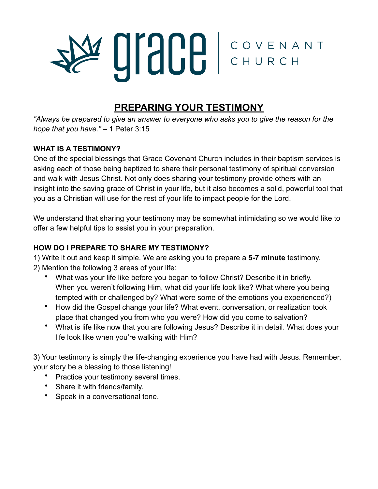# **UISCE COVENANT**

# **PREPARING YOUR TESTIMONY**

*"Always be prepared to give an answer to everyone who asks you to give the reason for the hope that you have."* – 1 Peter 3:15

### **WHAT IS A TESTIMONY?**

One of the special blessings that Grace Covenant Church includes in their baptism services is asking each of those being baptized to share their personal testimony of spiritual conversion and walk with Jesus Christ. Not only does sharing your testimony provide others with an insight into the saving grace of Christ in your life, but it also becomes a solid, powerful tool that you as a Christian will use for the rest of your life to impact people for the Lord.

We understand that sharing your testimony may be somewhat intimidating so we would like to offer a few helpful tips to assist you in your preparation.

## **HOW DO I PREPARE TO SHARE MY TESTIMONY?**

1) Write it out and keep it simple. We are asking you to prepare a **5-7 minute** testimony.

- 2) Mention the following 3 areas of your life:
	- What was your life like before you began to follow Christ? Describe it in briefly. When you weren't following Him, what did your life look like? What where you being tempted with or challenged by? What were some of the emotions you experienced?)
	- How did the Gospel change your life? What event, conversation, or realization took place that changed you from who you were? How did you come to salvation?
	- What is life like now that you are following Jesus? Describe it in detail. What does your life look like when you're walking with Him?

3) Your testimony is simply the life-changing experience you have had with Jesus. Remember, your story be a blessing to those listening!

- Practice your testimony several times.
- Share it with friends/family.
- Speak in a conversational tone.